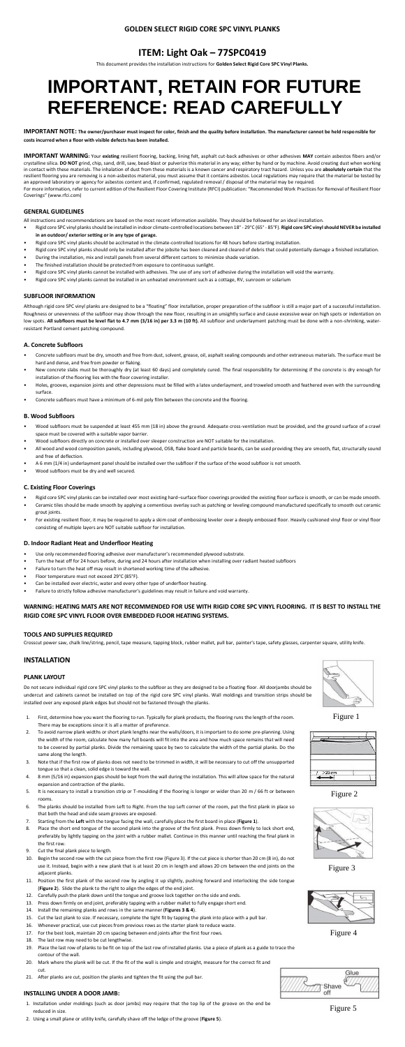# **GOLDEN SELECT RIGID CORE SPC VINYL PLANKS**

# **ITEM: Light Oak – 77SPC0419**

This document provides the installation instructions for **Golden Select Rigid Core SPC Vinyl Planks.**

# **IMPORTANT, RETAIN FOR FUTURE REFERENCE: READ CAREFULLY**

**IMPORTANT NOTE: The owner/purchaser must inspect for color, finish and the quality before installation. The manufacturer cannot be held responsible for costs incurred when a floor with visible defects has been installed.**

**IMPORTANT WARNING:** Your **existing** resilient flooring, backing, lining felt, asphalt cut-back adhesives or other adhesives **MAY** contain asbestos fibers and/or crystalline silica. **DO NOT** grind, chip, sand, drill, saw, bead-blast or pulverize this material in any way; either by hand or by machine. Avoid creating dust when working in contact with these materials. The inhalation of dust from these materials is a known cancer and respiratory tract hazard. Unless you are **absolutely certain** that the resilient flooring you are removing is a non-asbestos material, you must assume that it contains asbestos. Local regulations may require that the material be tested by an approved laboratory or agency for asbestos content and, if confirmed, regulated removal / disposal of the material may be required. For more information, refer to current edition of the Resilient Floor Covering Institute (RFCI) publication: "Recommended Work Practices for Removal of Resilient Floor

Coverings" ([www.rfci.com\)](http://www.rfci.com/)

#### **GENERAL GUIDELINES**

All instructions and recommendations are based on the most recent information available. They should be followed for an ideal installation.

- Rigid core SPC vinyl planksshould be installed in indoor climate-controlled locations between 18° 29°C (65° 85°F). **Rigid core SPC vinylshould NEVER be installed in an outdoor/ exterior setting or in any type of garage.**
- Rigid core SPC vinyl planks should be acclimated in the climate-controlled locations for 48 hours before starting installation.
- Rigid core SPC vinyl planks should only be installed after the jobsite has been cleaned and cleared of debris that could potentially damage a finished installation.
- During the installation, mix and install panels from several different cartons to minimize shade variation.
- The finished installation should be protected from exposure to continuous sunlight.
- Rigid core SPC vinyl planks cannot be installed with adhesives. The use of any sort of adhesive during the installation will void the warranty.
- Rigid core SPC vinyl planks cannot be installed in an unheated environment such as a cottage, RV, sunroom or solarium

#### **SUBFLOOR INFORMATION**

Although rigid core SPC vinyl planks are designed to be a "floating" floor installation, proper preparation of the subfloor is still a major part of a successful installation. Roughness or unevenness of the subfloor may show through the new floor, resulting in an unsightly surface and cause excessive wear on high spots or indentation on low spots. **All subfloors must be level flat to 4.7 mm (3/16 in) per 3.3 m (10 ft).** All subfloor and underlayment patching must be done with a non-shrinking, waterresistant Portland cement patching compound.

#### **A. Concrete Subfloors**

- Concrete subfloors must be dry, smooth and free from dust, solvent, grease, oil, asphalt sealing compounds and other extraneous materials. The surface must be hard and dense, and free from powder or flaking.
- New concrete slabs must be thoroughly dry (at least 60 days) and completely cured. The final responsibility for determining if the concrete is dry enough for installation of the flooring lies with the floor covering installer.
- Holes, grooves, expansion joints and other depressions must be filled with a latex underlayment, and troweled smooth and feathered even with the surrounding surface.
- Concrete subfloors must have a minimum of 6-mil poly film between the concrete and the flooring.

#### **B. Wood Subfloors**

- Wood subfloors must be suspended at least 455 mm (18 in) above the ground. Adequate cross-ventilation must be provided, and the ground surface of a crawl space must be covered with a suitable vapor barrier.
- Wood subfloors directly on concrete or installed over sleeper construction are NOT suitable for the installation.
- All wood and wood composition panels, including plywood, OSB, flake board and particle boards, can be used providing they are smooth, flat, structurally sound and free of deflection.
- A 6 mm (1/4 in) underlayment panel should be installed over the subfloor if the surface of the wood subfloor is not smooth.
- Wood subfloors must be dry and well secured.

# **C. Existing Floor Coverings**

- Rigid core SPC vinyl planks can be installed over most existing hard–surface floor coverings provided the existing floor surface is smooth, or can be made smooth.
- Ceramic tiles should be made smooth by applying a cementious overlay such as patching or leveling compound manufactured specifically to smooth out ceramic grout joints.
- For existing resilient floor, it may be required to apply a skim coat of embossing leveler over a deeply embossed floor. Heavily cushioned vinyl floor or vinyl floor consisting of multiple layers are NOT suitable subfloor for installation.

# **D. Indoor Radiant Heat and Underfloor Heating**

- Use only recommended flooring adhesive over manufacturer's recommended plywood substrate.
- Turn the heat off for 24 hours before, during and 24 hours after installation when installing over radiant heated subfloors
- Failure to turn the heat off may result in shortened working time of the adhesive.
- Floor temperature must not exceed 29°C (85°F).
- Can be installed over electric, water and every other type of underfloor heating.
- Failure to strictly follow adhesive manufacturer's guidelines may result in failure and void warranty.

# **WARNING: HEATING MATS ARE NOT RECOMMENDED FOR USE WITH RIGID CORE SPC VINYL FLOORING. IT IS BEST TO INSTALL THE RIGID CORE SPC VINYL FLOOR OVER EMBEDDED FLOOR HEATING SYSTEMS.**

# **TOOLS AND SUPPLIES REQUIRED**

Crosscut power saw, chalk line/string, pencil, tape measure, tapping block, rubber mallet, pull bar, painter's tape, safety glasses, carpenter square, utility knife.

# **INSTALLATION**

#### **PLANK LAYOUT**

Do not secure individual rigid core SPC vinyl planks to the subfloor as they are designed to be a floating floor. All doorjambs should be undercut and cabinets cannot be installed on top of the rigid core SPC vinyl planks. Wall moldings and transition strips should be installed over any exposed plank edges but should not be fastened through the planks.

- 1. First, determine how you want the flooring to run. Typically for plank products, the flooring runs the length of the room. There may be exceptions since it is all a matter of preference.
- 2. To avoid narrow plank widths or short plank lengths near the walls/doors, it is important to do some pre-planning. Using the width of the room, calculate how many full boards will fit into the area and how much space remains that will need to be covered by partial planks. Divide the remaining space by two to calculate the width of the partial planks. Do the same along the length.
- 3. Note that if the first row of planks does not need to be trimmed in width, it will be necessary to cut off the unsupported tongue so that a clean, solid edge is toward the wall.
- 4. 8 mm (5/16 in) expansion gaps should be kept from the wall during the installation. This will allow space for the natural expansion and contraction of the planks.
- 5. It is necessary to install a transition strip or T-moulding if the flooring is longer or wider than 20 m / 66 ft or between rooms.
- 6. The planks should be installed from Left to Right. From the top Left corner of the room, put the first plank in place so that both the head and side seam grooves are exposed.
- 7. Starting from the **Left** with the tongue facing the wall, carefully place the first board in place (**Figure 1**).
- 8. Place the short end tongue of the second plank into the groove of the first plank. Press down firmly to lock short end, preferably by lightly tapping on the joint with a rubber mallet. Continue in this manner until reaching the final plank in the first row.
- 9. Cut the final plank piece to length.
- 10. Begin the second row with the cut piece from the first row (Figure 3). If the cut piece is shorter than 20 cm (8 in), do not use it. Instead, begin with a new plank that is at least 20 cm in length and allows 20 cm between the end joints on the adjacent planks.
- 11. Position the first plank of the second row by angling it up slightly, pushing forward and interlocking the side tongue (**Figure 2**). Slide the plank to the right to align the edges of the end joint.
- 12. Carefully push the plank down until the tongue and groove lock together on the side and ends.
- 13. Press down firmly on end joint, preferably tapping with a rubber mallet to fully engage short end.
- 14. Install the remaining planks and rows in the same manner (**Figures 3 & 4**).
- 15. Cut the last plank to size. If necessary, complete the tight fit by tapping the plank into place with a pull bar.
- 16. Whenever practical, use cut pieces from previous rows as the starter plank to reduce waste.
- 17. For the best look, maintain 20 cm spacing between end joints after the first four rows.
- 18. The last row may need to be cut lengthwise.
- 19. Place the last row of planks to be fit on top of the last row of installed planks. Use a piece of plank as a guide to trace the contour of the wall.
- 20. Mark where the plank will be cut. If the fit of the wall is simple and straight, measure for the correct fit and cut.
- 21. After planks are cut, position the planks and tighten the fit using the pull bar.

# **INSTALLING UNDER A DOOR JAMB:**

- 1. Installation under moldings (such as door jambs) may require that the top lip of the groove on the end be reduced in size.
- 2. Using a small plane or utility knife, carefully shave off the ledge of the groove (**Figure 5**).



Figure 1



Figure 4



Figure 3



Figure 2



Figure 5